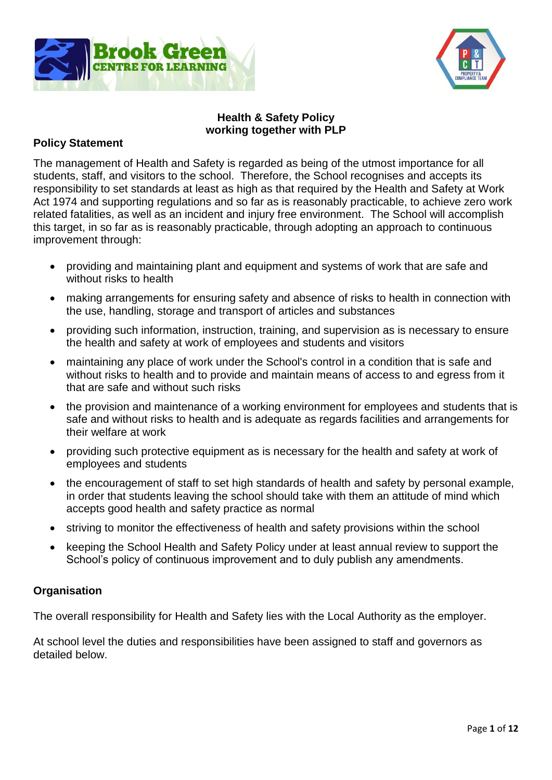



### **Health & Safety Policy working together with PLP**

### **Policy Statement**

The management of Health and Safety is regarded as being of the utmost importance for all students, staff, and visitors to the school. Therefore, the School recognises and accepts its responsibility to set standards at least as high as that required by the Health and Safety at Work Act 1974 and supporting regulations and so far as is reasonably practicable, to achieve zero work related fatalities, as well as an incident and injury free environment. The School will accomplish this target, in so far as is reasonably practicable, through adopting an approach to continuous improvement through:

- providing and maintaining plant and equipment and systems of work that are safe and without risks to health
- making arrangements for ensuring safety and absence of risks to health in connection with the use, handling, storage and transport of articles and substances
- providing such information, instruction, training, and supervision as is necessary to ensure the health and safety at work of employees and students and visitors
- maintaining any place of work under the School's control in a condition that is safe and without risks to health and to provide and maintain means of access to and egress from it that are safe and without such risks
- the provision and maintenance of a working environment for employees and students that is safe and without risks to health and is adequate as regards facilities and arrangements for their welfare at work
- providing such protective equipment as is necessary for the health and safety at work of employees and students
- the encouragement of staff to set high standards of health and safety by personal example, in order that students leaving the school should take with them an attitude of mind which accepts good health and safety practice as normal
- striving to monitor the effectiveness of health and safety provisions within the school
- keeping the School Health and Safety Policy under at least annual review to support the School's policy of continuous improvement and to duly publish any amendments.

### **Organisation**

The overall responsibility for Health and Safety lies with the Local Authority as the employer.

At school level the duties and responsibilities have been assigned to staff and governors as detailed below.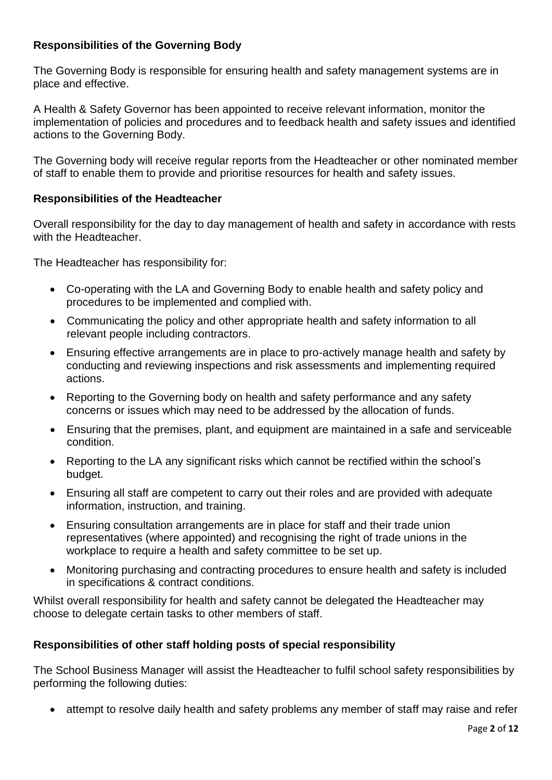# **Responsibilities of the Governing Body**

The Governing Body is responsible for ensuring health and safety management systems are in place and effective.

A Health & Safety Governor has been appointed to receive relevant information, monitor the implementation of policies and procedures and to feedback health and safety issues and identified actions to the Governing Body.

The Governing body will receive regular reports from the Headteacher or other nominated member of staff to enable them to provide and prioritise resources for health and safety issues.

### **Responsibilities of the Headteacher**

Overall responsibility for the day to day management of health and safety in accordance with rests with the Headteacher.

The Headteacher has responsibility for:

- Co-operating with the LA and Governing Body to enable health and safety policy and procedures to be implemented and complied with.
- Communicating the policy and other appropriate health and safety information to all relevant people including contractors.
- Ensuring effective arrangements are in place to pro-actively manage health and safety by conducting and reviewing inspections and risk assessments and implementing required actions.
- Reporting to the Governing body on health and safety performance and any safety concerns or issues which may need to be addressed by the allocation of funds.
- Ensuring that the premises, plant, and equipment are maintained in a safe and serviceable condition.
- Reporting to the LA any significant risks which cannot be rectified within the school's budget.
- Ensuring all staff are competent to carry out their roles and are provided with adequate information, instruction, and training.
- Ensuring consultation arrangements are in place for staff and their trade union representatives (where appointed) and recognising the right of trade unions in the workplace to require a health and safety committee to be set up.
- Monitoring purchasing and contracting procedures to ensure health and safety is included in specifications & contract conditions.

Whilst overall responsibility for health and safety cannot be delegated the Headteacher may choose to delegate certain tasks to other members of staff.

### **Responsibilities of other staff holding posts of special responsibility**

The School Business Manager will assist the Headteacher to fulfil school safety responsibilities by performing the following duties:

attempt to resolve daily health and safety problems any member of staff may raise and refer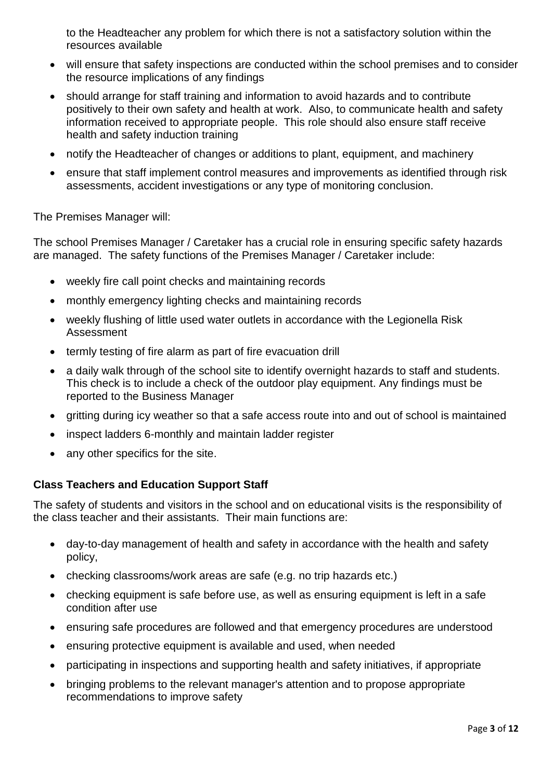to the Headteacher any problem for which there is not a satisfactory solution within the resources available

- will ensure that safety inspections are conducted within the school premises and to consider the resource implications of any findings
- should arrange for staff training and information to avoid hazards and to contribute positively to their own safety and health at work. Also, to communicate health and safety information received to appropriate people. This role should also ensure staff receive health and safety induction training
- notify the Headteacher of changes or additions to plant, equipment, and machinery
- ensure that staff implement control measures and improvements as identified through risk assessments, accident investigations or any type of monitoring conclusion.

The Premises Manager will:

The school Premises Manager / Caretaker has a crucial role in ensuring specific safety hazards are managed. The safety functions of the Premises Manager / Caretaker include:

- weekly fire call point checks and maintaining records
- monthly emergency lighting checks and maintaining records
- weekly flushing of little used water outlets in accordance with the Legionella Risk Assessment
- termly testing of fire alarm as part of fire evacuation drill
- a daily walk through of the school site to identify overnight hazards to staff and students. This check is to include a check of the outdoor play equipment. Any findings must be reported to the Business Manager
- gritting during icy weather so that a safe access route into and out of school is maintained
- inspect ladders 6-monthly and maintain ladder register
- any other specifics for the site.

### **Class Teachers and Education Support Staff**

The safety of students and visitors in the school and on educational visits is the responsibility of the class teacher and their assistants. Their main functions are:

- day-to-day management of health and safety in accordance with the health and safety policy,
- checking classrooms/work areas are safe (e.g. no trip hazards etc.)
- checking equipment is safe before use, as well as ensuring equipment is left in a safe condition after use
- ensuring safe procedures are followed and that emergency procedures are understood
- ensuring protective equipment is available and used, when needed
- participating in inspections and supporting health and safety initiatives, if appropriate
- bringing problems to the relevant manager's attention and to propose appropriate recommendations to improve safety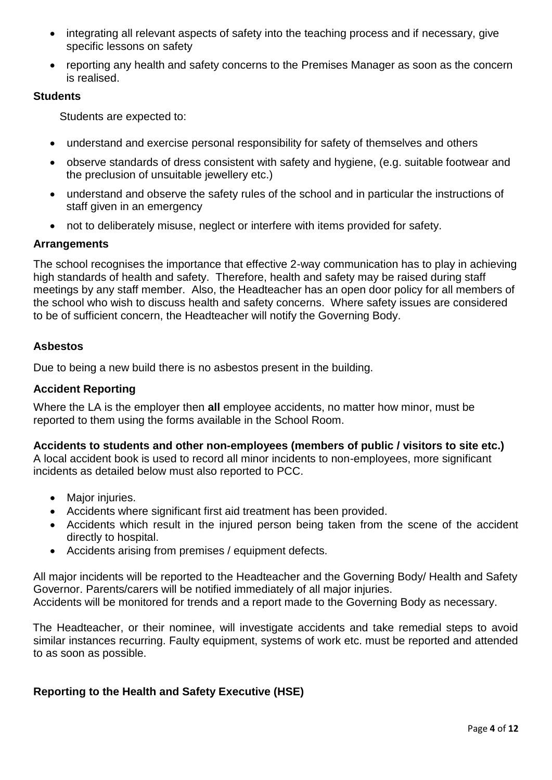- integrating all relevant aspects of safety into the teaching process and if necessary, give specific lessons on safety
- reporting any health and safety concerns to the Premises Manager as soon as the concern is realised.

### **Students**

Students are expected to:

- understand and exercise personal responsibility for safety of themselves and others
- observe standards of dress consistent with safety and hygiene, (e.g. suitable footwear and the preclusion of unsuitable jewellery etc.)
- understand and observe the safety rules of the school and in particular the instructions of staff given in an emergency
- not to deliberately misuse, neglect or interfere with items provided for safety.

### **Arrangements**

The school recognises the importance that effective 2-way communication has to play in achieving high standards of health and safety. Therefore, health and safety may be raised during staff meetings by any staff member. Also, the Headteacher has an open door policy for all members of the school who wish to discuss health and safety concerns. Where safety issues are considered to be of sufficient concern, the Headteacher will notify the Governing Body.

### **Asbestos**

Due to being a new build there is no asbestos present in the building.

#### **Accident Reporting**

Where the LA is the employer then **all** employee accidents, no matter how minor, must be reported to them using the forms available in the School Room.

#### **Accidents to students and other non-employees (members of public / visitors to site etc.)**

A local accident book is used to record all minor incidents to non-employees, more significant incidents as detailed below must also reported to PCC.

- Major injuries.
- Accidents where significant first aid treatment has been provided.
- Accidents which result in the injured person being taken from the scene of the accident directly to hospital.
- Accidents arising from premises / equipment defects.

All major incidents will be reported to the Headteacher and the Governing Body/ Health and Safety Governor. Parents/carers will be notified immediately of all major injuries. Accidents will be monitored for trends and a report made to the Governing Body as necessary.

The Headteacher, or their nominee, will investigate accidents and take remedial steps to avoid similar instances recurring. Faulty equipment, systems of work etc. must be reported and attended to as soon as possible.

### **Reporting to the Health and Safety Executive (HSE)**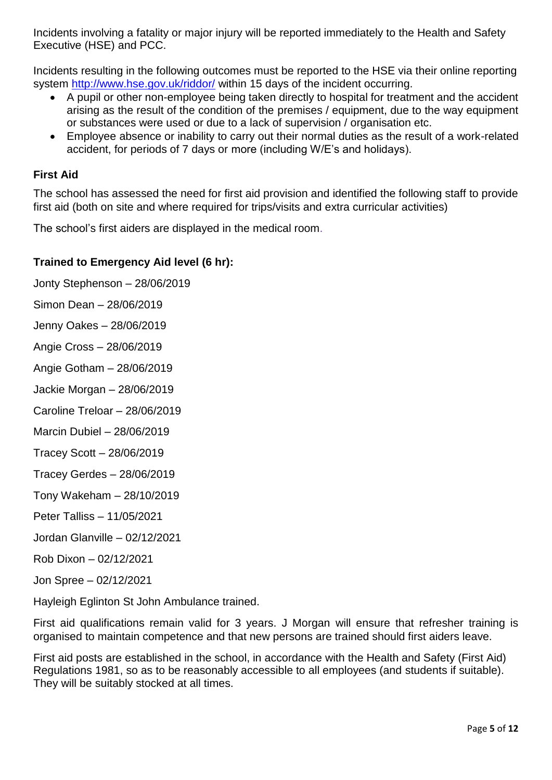Incidents involving a fatality or major injury will be reported immediately to the Health and Safety Executive (HSE) and PCC.

Incidents resulting in the following outcomes must be reported to the HSE via their online reporting system<http://www.hse.gov.uk/riddor/> within 15 days of the incident occurring.

- A pupil or other non-employee being taken directly to hospital for treatment and the accident arising as the result of the condition of the premises / equipment, due to the way equipment or substances were used or due to a lack of supervision / organisation etc.
- Employee absence or inability to carry out their normal duties as the result of a work-related accident, for periods of 7 days or more (including W/E's and holidays).

## **First Aid**

The school has assessed the need for first aid provision and identified the following staff to provide first aid (both on site and where required for trips/visits and extra curricular activities)

The school's first aiders are displayed in the medical room.

### **Trained to Emergency Aid level (6 hr):**

- Jonty Stephenson 28/06/2019
- Simon Dean 28/06/2019
- Jenny Oakes 28/06/2019
- Angie Cross 28/06/2019
- Angie Gotham 28/06/2019
- Jackie Morgan 28/06/2019
- Caroline Treloar 28/06/2019
- Marcin Dubiel 28/06/2019
- Tracey Scott 28/06/2019
- Tracey Gerdes 28/06/2019
- Tony Wakeham 28/10/2019
- Peter Talliss 11/05/2021
- Jordan Glanville 02/12/2021
- Rob Dixon 02/12/2021
- Jon Spree 02/12/2021

Hayleigh Eglinton St John Ambulance trained.

First aid qualifications remain valid for 3 years. J Morgan will ensure that refresher training is organised to maintain competence and that new persons are trained should first aiders leave.

First aid posts are established in the school, in accordance with the Health and Safety (First Aid) Regulations 1981, so as to be reasonably accessible to all employees (and students if suitable). They will be suitably stocked at all times.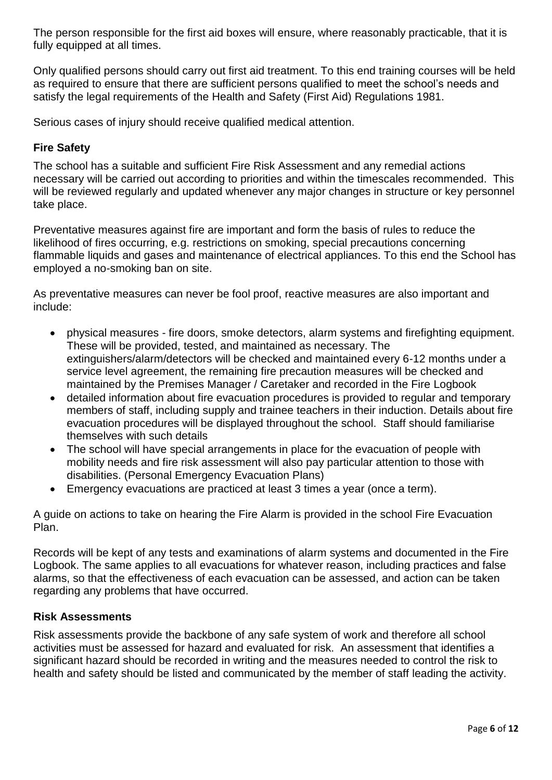The person responsible for the first aid boxes will ensure, where reasonably practicable, that it is fully equipped at all times.

Only qualified persons should carry out first aid treatment. To this end training courses will be held as required to ensure that there are sufficient persons qualified to meet the school's needs and satisfy the legal requirements of the Health and Safety (First Aid) Regulations 1981.

Serious cases of injury should receive qualified medical attention.

## **Fire Safety**

The school has a suitable and sufficient Fire Risk Assessment and any remedial actions necessary will be carried out according to priorities and within the timescales recommended. This will be reviewed regularly and updated whenever any major changes in structure or key personnel take place.

Preventative measures against fire are important and form the basis of rules to reduce the likelihood of fires occurring, e.g. restrictions on smoking, special precautions concerning flammable liquids and gases and maintenance of electrical appliances. To this end the School has employed a no-smoking ban on site.

As preventative measures can never be fool proof, reactive measures are also important and include:

- physical measures fire doors, smoke detectors, alarm systems and firefighting equipment. These will be provided, tested, and maintained as necessary. The extinguishers/alarm/detectors will be checked and maintained every 6-12 months under a service level agreement, the remaining fire precaution measures will be checked and maintained by the Premises Manager / Caretaker and recorded in the Fire Logbook
- detailed information about fire evacuation procedures is provided to regular and temporary members of staff, including supply and trainee teachers in their induction. Details about fire evacuation procedures will be displayed throughout the school. Staff should familiarise themselves with such details
- The school will have special arrangements in place for the evacuation of people with mobility needs and fire risk assessment will also pay particular attention to those with disabilities. (Personal Emergency Evacuation Plans)
- Emergency evacuations are practiced at least 3 times a year (once a term).

A guide on actions to take on hearing the Fire Alarm is provided in the school Fire Evacuation Plan.

Records will be kept of any tests and examinations of alarm systems and documented in the Fire Logbook. The same applies to all evacuations for whatever reason, including practices and false alarms, so that the effectiveness of each evacuation can be assessed, and action can be taken regarding any problems that have occurred.

### **Risk Assessments**

Risk assessments provide the backbone of any safe system of work and therefore all school activities must be assessed for hazard and evaluated for risk. An assessment that identifies a significant hazard should be recorded in writing and the measures needed to control the risk to health and safety should be listed and communicated by the member of staff leading the activity.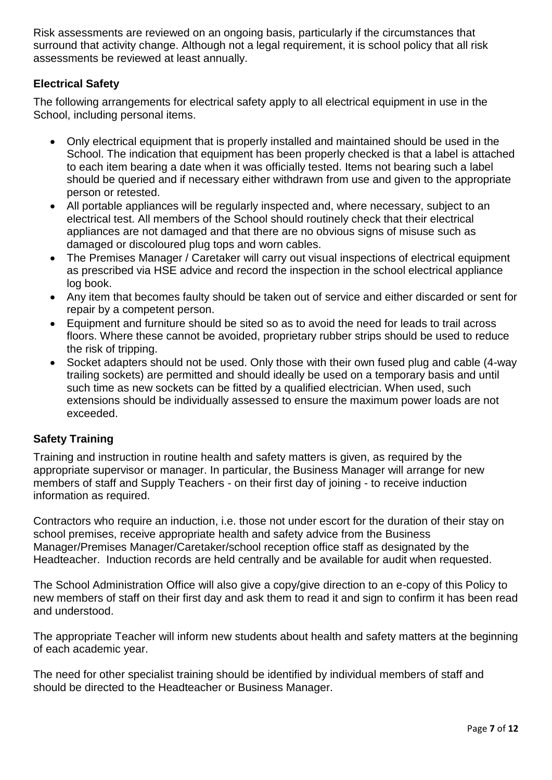Risk assessments are reviewed on an ongoing basis, particularly if the circumstances that surround that activity change. Although not a legal requirement, it is school policy that all risk assessments be reviewed at least annually.

# **Electrical Safety**

The following arrangements for electrical safety apply to all electrical equipment in use in the School, including personal items.

- Only electrical equipment that is properly installed and maintained should be used in the School. The indication that equipment has been properly checked is that a label is attached to each item bearing a date when it was officially tested. Items not bearing such a label should be queried and if necessary either withdrawn from use and given to the appropriate person or retested.
- All portable appliances will be regularly inspected and, where necessary, subject to an electrical test. All members of the School should routinely check that their electrical appliances are not damaged and that there are no obvious signs of misuse such as damaged or discoloured plug tops and worn cables.
- The Premises Manager / Caretaker will carry out visual inspections of electrical equipment as prescribed via HSE advice and record the inspection in the school electrical appliance log book.
- Any item that becomes faulty should be taken out of service and either discarded or sent for repair by a competent person.
- Equipment and furniture should be sited so as to avoid the need for leads to trail across floors. Where these cannot be avoided, proprietary rubber strips should be used to reduce the risk of tripping.
- Socket adapters should not be used. Only those with their own fused plug and cable (4-way trailing sockets) are permitted and should ideally be used on a temporary basis and until such time as new sockets can be fitted by a qualified electrician. When used, such extensions should be individually assessed to ensure the maximum power loads are not exceeded.

# **Safety Training**

Training and instruction in routine health and safety matters is given, as required by the appropriate supervisor or manager. In particular, the Business Manager will arrange for new members of staff and Supply Teachers - on their first day of joining - to receive induction information as required.

Contractors who require an induction, i.e. those not under escort for the duration of their stay on school premises, receive appropriate health and safety advice from the Business Manager/Premises Manager/Caretaker/school reception office staff as designated by the Headteacher. Induction records are held centrally and be available for audit when requested.

The School Administration Office will also give a copy/give direction to an e-copy of this Policy to new members of staff on their first day and ask them to read it and sign to confirm it has been read and understood.

The appropriate Teacher will inform new students about health and safety matters at the beginning of each academic year.

The need for other specialist training should be identified by individual members of staff and should be directed to the Headteacher or Business Manager.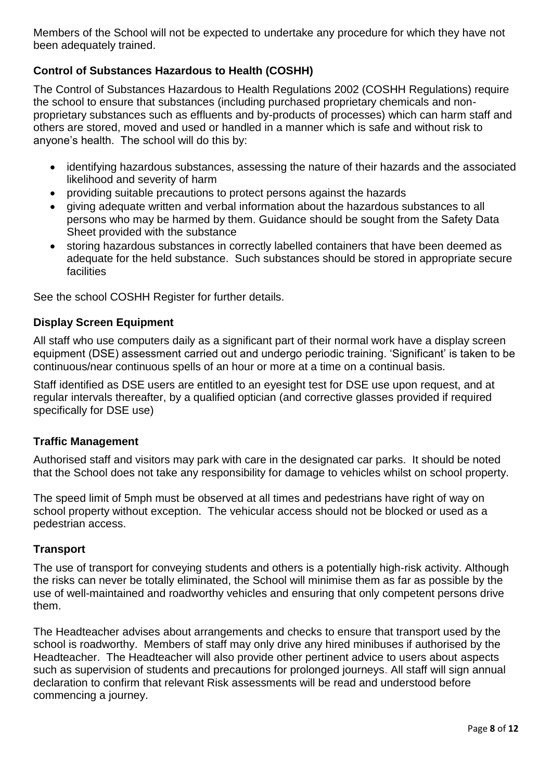Members of the School will not be expected to undertake any procedure for which they have not been adequately trained.

# **Control of Substances Hazardous to Health (COSHH)**

The Control of Substances Hazardous to Health Regulations 2002 (COSHH Regulations) require the school to ensure that substances (including purchased proprietary chemicals and nonproprietary substances such as effluents and by-products of processes) which can harm staff and others are stored, moved and used or handled in a manner which is safe and without risk to anyone's health. The school will do this by:

- identifying hazardous substances, assessing the nature of their hazards and the associated likelihood and severity of harm
- providing suitable precautions to protect persons against the hazards
- giving adequate written and verbal information about the hazardous substances to all persons who may be harmed by them. Guidance should be sought from the Safety Data Sheet provided with the substance
- storing hazardous substances in correctly labelled containers that have been deemed as adequate for the held substance. Such substances should be stored in appropriate secure facilities

See the school COSHH Register for further details.

### **Display Screen Equipment**

All staff who use computers daily as a significant part of their normal work have a display screen equipment (DSE) assessment carried out and undergo periodic training. 'Significant' is taken to be continuous/near continuous spells of an hour or more at a time on a continual basis.

Staff identified as DSE users are entitled to an eyesight test for DSE use upon request, and at regular intervals thereafter, by a qualified optician (and corrective glasses provided if required specifically for DSE use)

### **Traffic Management**

Authorised staff and visitors may park with care in the designated car parks. It should be noted that the School does not take any responsibility for damage to vehicles whilst on school property.

The speed limit of 5mph must be observed at all times and pedestrians have right of way on school property without exception. The vehicular access should not be blocked or used as a pedestrian access.

### **Transport**

The use of transport for conveying students and others is a potentially high-risk activity. Although the risks can never be totally eliminated, the School will minimise them as far as possible by the use of well-maintained and roadworthy vehicles and ensuring that only competent persons drive them.

The Headteacher advises about arrangements and checks to ensure that transport used by the school is roadworthy. Members of staff may only drive any hired minibuses if authorised by the Headteacher. The Headteacher will also provide other pertinent advice to users about aspects such as supervision of students and precautions for prolonged journeys. All staff will sign annual declaration to confirm that relevant Risk assessments will be read and understood before commencing a journey.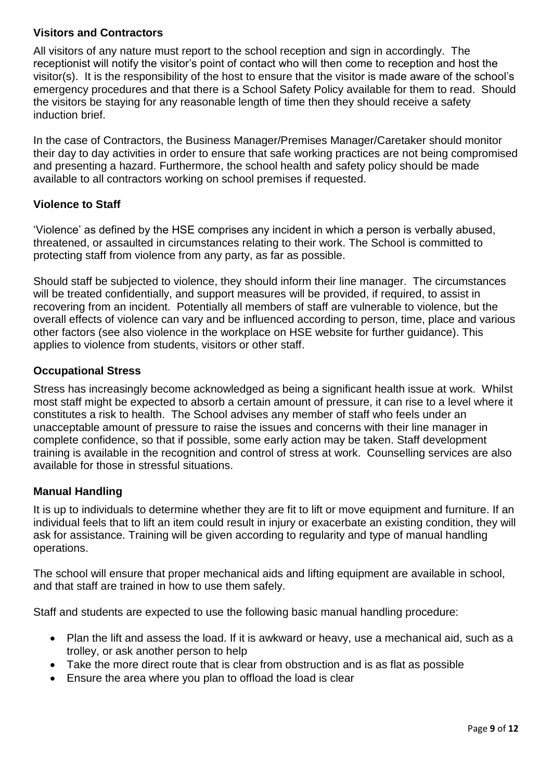# **Visitors and Contractors**

All visitors of any nature must report to the school reception and sign in accordingly. The receptionist will notify the visitor's point of contact who will then come to reception and host the visitor(s). It is the responsibility of the host to ensure that the visitor is made aware of the school's emergency procedures and that there is a School Safety Policy available for them to read. Should the visitors be staying for any reasonable length of time then they should receive a safety induction brief.

In the case of Contractors, the Business Manager/Premises Manager/Caretaker should monitor their day to day activities in order to ensure that safe working practices are not being compromised and presenting a hazard. Furthermore, the school health and safety policy should be made available to all contractors working on school premises if requested.

### **Violence to Staff**

'Violence' as defined by the HSE comprises any incident in which a person is verbally abused, threatened, or assaulted in circumstances relating to their work. The School is committed to protecting staff from violence from any party, as far as possible.

Should staff be subjected to violence, they should inform their line manager. The circumstances will be treated confidentially, and support measures will be provided, if required, to assist in recovering from an incident. Potentially all members of staff are vulnerable to violence, but the overall effects of violence can vary and be influenced according to person, time, place and various other factors (see also violence in the workplace on HSE website for further guidance). This applies to violence from students, visitors or other staff.

### **Occupational Stress**

Stress has increasingly become acknowledged as being a significant health issue at work. Whilst most staff might be expected to absorb a certain amount of pressure, it can rise to a level where it constitutes a risk to health. The School advises any member of staff who feels under an unacceptable amount of pressure to raise the issues and concerns with their line manager in complete confidence, so that if possible, some early action may be taken. Staff development training is available in the recognition and control of stress at work. Counselling services are also available for those in stressful situations.

# **Manual Handling**

It is up to individuals to determine whether they are fit to lift or move equipment and furniture. If an individual feels that to lift an item could result in injury or exacerbate an existing condition, they will ask for assistance. Training will be given according to regularity and type of manual handling operations.

The school will ensure that proper mechanical aids and lifting equipment are available in school, and that staff are trained in how to use them safely.

Staff and students are expected to use the following basic manual handling procedure:

- Plan the lift and assess the load. If it is awkward or heavy, use a mechanical aid, such as a trolley, or ask another person to help
- Take the more direct route that is clear from obstruction and is as flat as possible
- Ensure the area where you plan to offload the load is clear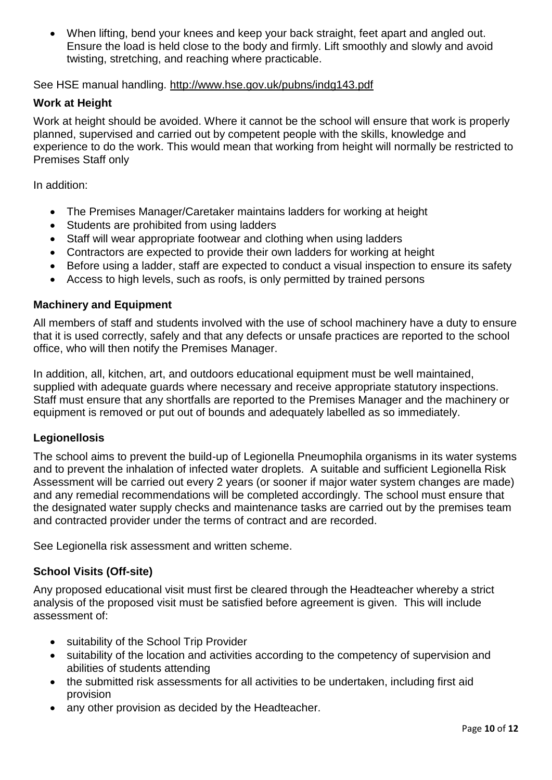When lifting, bend your knees and keep your back straight, feet apart and angled out. Ensure the load is held close to the body and firmly. Lift smoothly and slowly and avoid twisting, stretching, and reaching where practicable.

See HSE manual handling.<http://www.hse.gov.uk/pubns/indg143.pdf>

### **Work at Height**

Work at height should be avoided. Where it cannot be the school will ensure that work is properly planned, supervised and carried out by competent people with the skills, knowledge and experience to do the work. This would mean that working from height will normally be restricted to Premises Staff only

In addition:

- The Premises Manager/Caretaker maintains ladders for working at height
- Students are prohibited from using ladders
- Staff will wear appropriate footwear and clothing when using ladders
- Contractors are expected to provide their own ladders for working at height
- Before using a ladder, staff are expected to conduct a visual inspection to ensure its safety
- Access to high levels, such as roofs, is only permitted by trained persons

### **Machinery and Equipment**

All members of staff and students involved with the use of school machinery have a duty to ensure that it is used correctly, safely and that any defects or unsafe practices are reported to the school office, who will then notify the Premises Manager.

In addition, all, kitchen, art, and outdoors educational equipment must be well maintained, supplied with adequate guards where necessary and receive appropriate statutory inspections. Staff must ensure that any shortfalls are reported to the Premises Manager and the machinery or equipment is removed or put out of bounds and adequately labelled as so immediately.

### **Legionellosis**

The school aims to prevent the build-up of Legionella Pneumophila organisms in its water systems and to prevent the inhalation of infected water droplets. A suitable and sufficient Legionella Risk Assessment will be carried out every 2 years (or sooner if major water system changes are made) and any remedial recommendations will be completed accordingly. The school must ensure that the designated water supply checks and maintenance tasks are carried out by the premises team and contracted provider under the terms of contract and are recorded.

See Legionella risk assessment and written scheme.

### **School Visits (Off-site)**

Any proposed educational visit must first be cleared through the Headteacher whereby a strict analysis of the proposed visit must be satisfied before agreement is given. This will include assessment of:

- suitability of the School Trip Provider
- suitability of the location and activities according to the competency of supervision and abilities of students attending
- the submitted risk assessments for all activities to be undertaken, including first aid provision
- any other provision as decided by the Headteacher.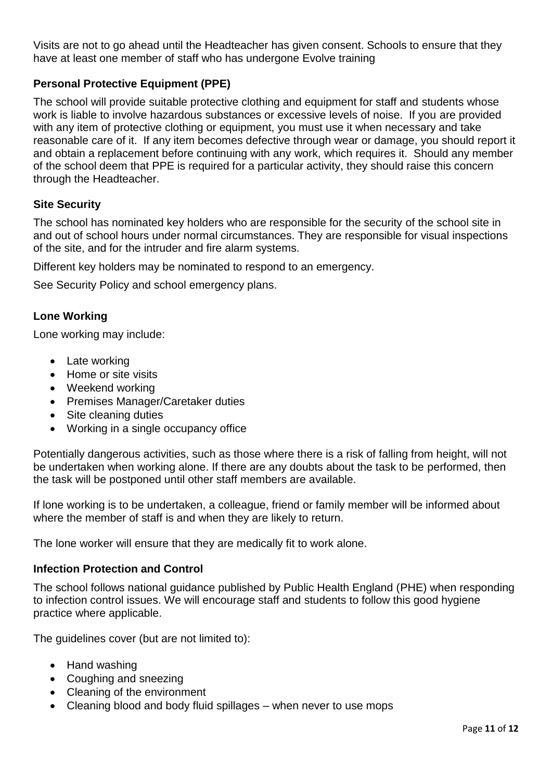Visits are not to go ahead until the Headteacher has given consent. Schools to ensure that they have at least one member of staff who has undergone Evolve training

# **Personal Protective Equipment (PPE)**

The school will provide suitable protective clothing and equipment for staff and students whose work is liable to involve hazardous substances or excessive levels of noise. If you are provided with any item of protective clothing or equipment, you must use it when necessary and take reasonable care of it. If any item becomes defective through wear or damage, you should report it and obtain a replacement before continuing with any work, which requires it. Should any member of the school deem that PPE is required for a particular activity, they should raise this concern through the Headteacher.

#### **Site Security**

The school has nominated key holders who are responsible for the security of the school site in and out of school hours under normal circumstances. They are responsible for visual inspections of the site, and for the intruder and fire alarm systems.

Different key holders may be nominated to respond to an emergency.

See Security Policy and school emergency plans.

#### **Lone Working**

Lone working may include:

- Late working
- Home or site visits
- Weekend working
- Premises Manager/Caretaker duties
- Site cleaning duties
- Working in a single occupancy office

Potentially dangerous activities, such as those where there is a risk of falling from height, will not be undertaken when working alone. If there are any doubts about the task to be performed, then the task will be postponed until other staff members are available.

If lone working is to be undertaken, a colleague, friend or family member will be informed about where the member of staff is and when they are likely to return.

The lone worker will ensure that they are medically fit to work alone.

#### **Infection Protection and Control**

The school follows national guidance published by Public Health England (PHE) when responding to infection control issues. We will encourage staff and students to follow this good hygiene practice where applicable.

The guidelines cover (but are not limited to):

- Hand washing
- Coughing and sneezing
- Cleaning of the environment
- Cleaning blood and body fluid spillages when never to use mops